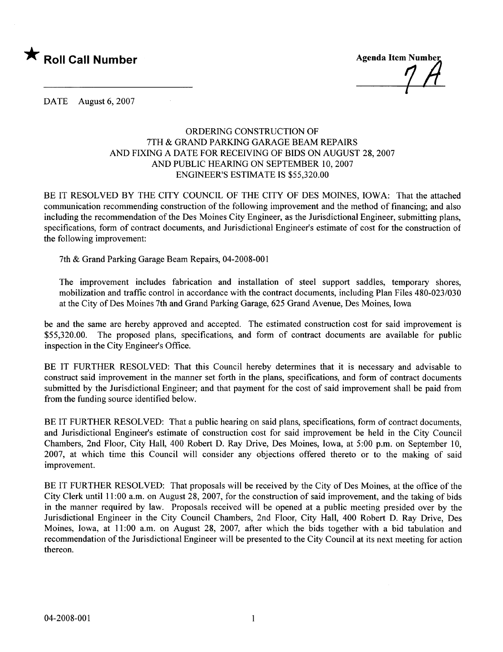

DATE August 6, 2007

## ORDERING CONSTRUCTION OF 7TH & GRAND PARKING GARAGE BEAM REPAIRS AND FIXING A DATE FOR RECEIVING OF BIDS ON AUGUST 28,2007 AND PUBLIC HEARING ON SEPTEMBER 10, 2007 ENGINEER'S ESTIMATE IS \$55,320.00

BE IT RESOLVED BY THE CITY COUNCIL OF THE CITY OF DES MOINES, IOWA: That the attached communication recommending construction of the following improvement and the method of financing; and also including the recommendation of the Des Moines City Engineer, as the Jurisdictional Engineer, submitting plans, specifications, form of contract documents, and Jurisdictional Engineer's estimate of cost for the construction of the following improvement:

7th & Grand Parking Garage Beam Repairs, 04-2008-001

The improvement includes fabrication and installation of steel support saddles, temporary shores, mobilization and traffic control in accordance with the contract documents, including Plan Files 480-023/030 at the City of Des Moines 7th and Grand Parking Garage, 625 Grand Avenue, Des Moines, Iowa

be and the same are hereby approved and accepted. The estimated construction cost for said improvement is \$55,320.00. The proposed plans, specifications, and form of contract documents are available for public inspection in the City Engineer's Office.

BE IT FURTHER RESOLVED: That this Council hereby determines that it is necessary and advisable to construct said improvement in the manner set forth in the plans, specifications, and form of contract documents submitted by the Jurisdictional Engineer; and that payment for the cost of said improvement shall be paid from from the funding source identified below.

BE IT FURTHER RESOLVED: That a public hearing on said plans, specifications, form of contract documents, and Jurisdictional Engineer's estimate of construction cost for said improvement be held in the City Council Chambers, 2nd Floor, City Hall, 400 Robert D. Ray Drive, Des Moines, Iowa, at 5:00 p.m. on September 10, 2007, at which time this Council wil consider any objections offered thereto or to the making of said improvement.

BE IT FURTHER RESOLVED: That proposals will be received by the City of Des Moines, at the office of the City Clerk until 11 :00 a.m. on August 28, 2007, for the construction of said improvement, and the taking of bids in the manner required by law. Proposals received will be opened at a public meeting presided over by the Jurisdictional Engineer in the City Council Chambers, 2nd Floor, City Hall, 400 Robert D. Ray Drive, Des Moines, Iowa, at 11:00 a.m. on August 28, 2007, after which the bids together with a bid tabulation and recommendation of the Jurisdictional Engineer wil be presented to the City Council at its next meeting for action thereon.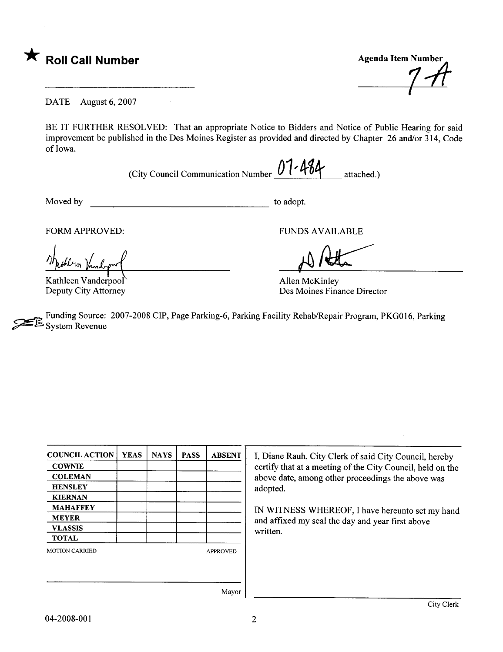

DATE August 6, 2007

 $\sim 10$ 

BE IT FURTHER RESOLVED: That an appropriate Notice to Bidders and Notice of Public Hearing for said improvement be published in the Des Moines Register as provided and directed by Chapter 26 and/or 314, Code of Iowa.

(City Council Communication Number  $0$ 1 - 484 attached.)

Moved by to adopt.

FORM APPROVED:<br>
The Allen Mandon (Kathleen Vanderpool) allen McKinley FORM APPROVED:<br>Musikun Vandrow

Kathleen Vanderpool Deputy City Attorney

Des Moines Finance Director

~ Funding Source: 2007-2008 CIP, Page Parking-6, Parking Facility Rehab/Repair Program, PKGOI6, Parking System Revenue

| <b>COUNCIL ACTION</b> | <b>YEAS</b> | <b>NAYS</b> | <b>PASS</b>     | <b>ABSENT</b> |  |
|-----------------------|-------------|-------------|-----------------|---------------|--|
| <b>COWNIE</b>         |             |             |                 |               |  |
| <b>COLEMAN</b>        |             |             |                 |               |  |
| <b>HENSLEY</b>        |             |             |                 |               |  |
| <b>KIERNAN</b>        |             |             |                 |               |  |
| <b>MAHAFFEY</b>       |             |             |                 |               |  |
| <b>MEYER</b>          |             |             |                 |               |  |
| <b>VLASSIS</b>        |             |             |                 |               |  |
| <b>TOTAL</b>          |             |             |                 |               |  |
| <b>MOTION CARRIED</b> |             |             | <b>APPROVED</b> |               |  |
|                       |             |             |                 |               |  |
|                       |             |             |                 |               |  |
|                       |             |             |                 |               |  |

I, Diane Rauh, City Clerk of said City Council, hereby certify that at a meeting of the City Council, held on the above date, among other proceedings the above was adopted.

IN WITNESS WHEREOF, I have hereunto set my hand and affxed my seal the day and year first above written.

Mayor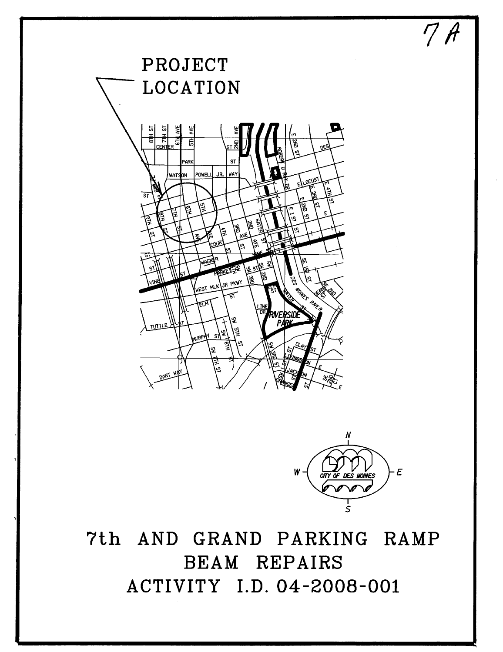



 $7H$ 

7th AND GRAND PARKING RAMP BEAM REPAIRS ACTIVITY I.D. 04-2008-001